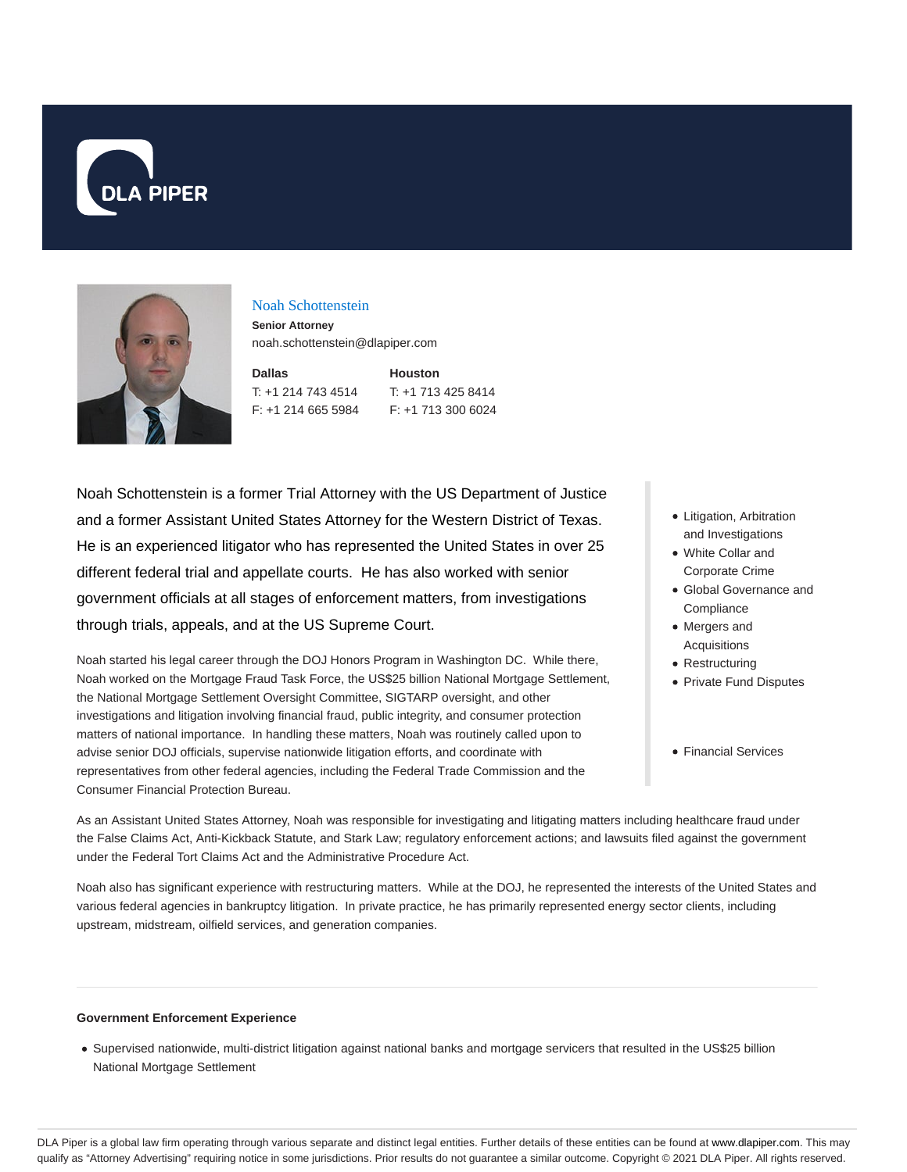



#### Noah Schottenstein

**Senior Attorney** noah.schottenstein@dlapiper.com

| Dallas             | <b>Houston</b> |
|--------------------|----------------|
| T: +1 214 743 4514 | $T: +1713$     |
| F: +1 214 665 5984 | $F: +1713$     |

13 425 8414 13 300 6024

Noah Schottenstein is a former Trial Attorney with the US Department of Justice and a former Assistant United States Attorney for the Western District of Texas. He is an experienced litigator who has represented the United States in over 25 different federal trial and appellate courts. He has also worked with senior government officials at all stages of enforcement matters, from investigations through trials, appeals, and at the US Supreme Court.

Noah started his legal career through the DOJ Honors Program in Washington DC. While there, Noah worked on the Mortgage Fraud Task Force, the US\$25 billion National Mortgage Settlement, the National Mortgage Settlement Oversight Committee, SIGTARP oversight, and other investigations and litigation involving financial fraud, public integrity, and consumer protection matters of national importance. In handling these matters, Noah was routinely called upon to advise senior DOJ officials, supervise nationwide litigation efforts, and coordinate with representatives from other federal agencies, including the Federal Trade Commission and the Consumer Financial Protection Bureau.

- Litigation, Arbitration and Investigations
- White Collar and Corporate Crime
- Global Governance and **Compliance**
- Mergers and Acquisitions
- Restructuring
- Private Fund Disputes
- Financial Services

As an Assistant United States Attorney, Noah was responsible for investigating and litigating matters including healthcare fraud under the False Claims Act, Anti-Kickback Statute, and Stark Law; regulatory enforcement actions; and lawsuits filed against the government under the Federal Tort Claims Act and the Administrative Procedure Act.

Noah also has significant experience with restructuring matters. While at the DOJ, he represented the interests of the United States and various federal agencies in bankruptcy litigation. In private practice, he has primarily represented energy sector clients, including upstream, midstream, oilfield services, and generation companies.

#### **Government Enforcement Experience**

Supervised nationwide, multi-district litigation against national banks and mortgage servicers that resulted in the US\$25 billion National Mortgage Settlement

DLA Piper is a global law firm operating through various separate and distinct legal entities. Further details of these entities can be found at www.dlapiper.com. This may qualify as "Attorney Advertising" requiring notice in some jurisdictions. Prior results do not guarantee a similar outcome. Copyright © 2021 DLA Piper. All rights reserved.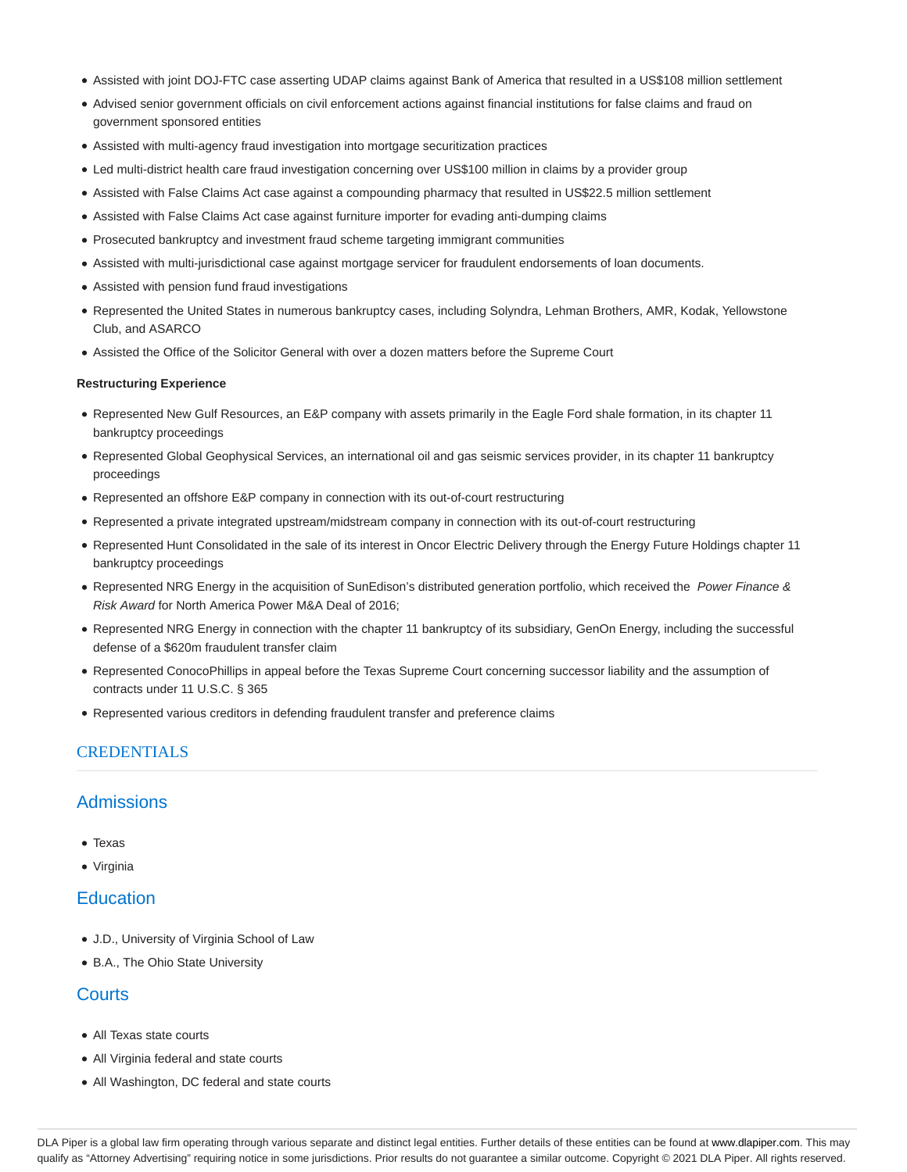- Assisted with joint DOJ-FTC case asserting UDAP claims against Bank of America that resulted in a US\$108 million settlement
- Advised senior government officials on civil enforcement actions against financial institutions for false claims and fraud on government sponsored entities
- Assisted with multi-agency fraud investigation into mortgage securitization practices
- Led multi-district health care fraud investigation concerning over US\$100 million in claims by a provider group
- Assisted with False Claims Act case against a compounding pharmacy that resulted in US\$22.5 million settlement
- Assisted with False Claims Act case against furniture importer for evading anti-dumping claims
- Prosecuted bankruptcy and investment fraud scheme targeting immigrant communities
- Assisted with multi-jurisdictional case against mortgage servicer for fraudulent endorsements of loan documents.
- Assisted with pension fund fraud investigations
- Represented the United States in numerous bankruptcy cases, including Solyndra, Lehman Brothers, AMR, Kodak, Yellowstone Club, and ASARCO
- Assisted the Office of the Solicitor General with over a dozen matters before the Supreme Court

#### **Restructuring Experience**

- Represented New Gulf Resources, an E&P company with assets primarily in the Eagle Ford shale formation, in its chapter 11 bankruptcy proceedings
- Represented Global Geophysical Services, an international oil and gas seismic services provider, in its chapter 11 bankruptcy proceedings
- Represented an offshore E&P company in connection with its out-of-court restructuring
- Represented a private integrated upstream/midstream company in connection with its out-of-court restructuring
- Represented Hunt Consolidated in the sale of its interest in Oncor Electric Delivery through the Energy Future Holdings chapter 11 bankruptcy proceedings
- Represented NRG Energy in the acquisition of SunEdison's distributed generation portfolio, which received the Power Finance & Risk Award for North America Power M&A Deal of 2016;
- Represented NRG Energy in connection with the chapter 11 bankruptcy of its subsidiary, GenOn Energy, including the successful defense of a \$620m fraudulent transfer claim
- Represented ConocoPhillips in appeal before the Texas Supreme Court concerning successor liability and the assumption of contracts under 11 U.S.C. § 365
- Represented various creditors in defending fraudulent transfer and preference claims

## **CREDENTIALS**

## Admissions

- Texas
- Virginia

# **Education**

- J.D., University of Virginia School of Law
- B.A., The Ohio State University

# **Courts**

- All Texas state courts
- All Virginia federal and state courts
- All Washington, DC federal and state courts